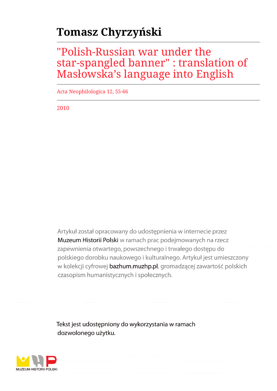# **Tomasz Chyrzyński**

## "Polish-Russian war under the star-spangled banner" : translation of Masłowska's language into English

Acta Neophilologica 12, 55-66

2010

Artykuł został opracowany do udostępnienia w internecie przez Muzeum Historii Polski w ramach prac podejmowanych na rzecz zapewnienia otwartego, powszechnego i trwałego dostępu do polskiego dorobku naukowego i kulturalnego. Artykuł jest umieszczony w kolekcji cyfrowej bazhum.muzhp.pl, gromadzącej zawartość polskich czasopism humanistycznych i społecznych.

Tekst jest udostępniony do wykorzystania w ramach dozwolonego użytku.

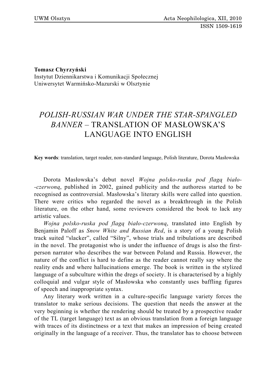**Tomasz Chyrzyński**

Instytut Dziennikarstwa i Komunikacji Społecznej Uniwersytet Warmińsko-Mazurski w Olsztynie

### *POLISH-RUSSIAN WAR UNDER THE STAR-SPANGLED BANNER* – TRANSLATION OF MASŁOWSKA'S LANGUAGE INTO ENGLISH

**Key words**: translation, target reader, non-standard language, Polish literature, Dorota Masłowska

Dorota Masłowska's debut novel *Wojna polsko-ruska pod flagą biało- -czerwoną*, published in 2002, gained publicity and the authoress started to be recognised as controversial. Masłowska's literary skills were called into question. There were critics who regarded the novel as a breakthrough in the Polish literature, on the other hand, some reviewers considered the book to lack any artistic values.

*Wojna polsko-ruska pod flagą biało-czerwoną*, translated into English by Benjamin Paloff as *Snow White and Russian Red*, is a story of a young Polish track suited "slacker", called "Silny", whose trials and tribulations are described in the novel. The protagonist who is under the influence of drugs is also the firstperson narrator who describes the war between Poland and Russia. However, the nature of the conflict is hard to define as the reader cannot really say where the reality ends and where hallucinations emerge. The book is written in the stylized language of a subculture within the dregs of society. It is characterised by a highly colloquial and vulgar style of Masłowska who constantly uses baffling figures of speech and inappropriate syntax.

Any literary work written in a culture-specific language variety forces the translator to make serious decisions. The question that needs the answer at the very beginning is whether the rendering should be treated by a prospective reader of the TL (target language) text as an obvious translation from a foreign language with traces of its distinctness or a text that makes an impression of being created originally in the language of a receiver. Thus, the translator has to choose between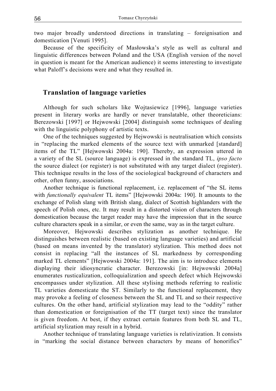two major broadly understood directions in translating – foreignisation and domestication [Venuti 1995].

Because of the specificity of Masłowska's style as well as cultural and linguistic differences between Poland and the USA (English version of the novel in question is meant for the American audience) it seems interesting to investigate what Paloff's decisions were and what they resulted in.

#### **Translation of language varieties**

Although for such scholars like Wojtasiewicz [1996], language varieties present in literary works are hardly or never translatable, other theoreticians: Berezowski [1997] or Hejwowski [2004] distinguish some techniques of dealing with the linguistic polyphony of artistic texts.

One of the techniques suggested by Hejwowski is neutralisation which consists in "replacing the marked elements of the source text with unmarked [standard] items of the TL" [Hejwowski 2004a: 190]. Thereby, an expression uttered in a variety of the SL (source language) is expressed in the standard TL, *ipso facto* the source dialect (or register) is not substituted with any target dialect (register). This technique results in the loss of the sociological background of characters and other, often funny, associations.

Another technique is functional replacement, i.e. replacement of "the SL items with *functionally equivalent* TL items" [Hejwowski 2004a: 190]. It amounts to the exchange of Polish slang with British slang, dialect of Scottish highlanders with the speech of Polish ones, etc. It may result in a distorted vision of characters through domestication because the target reader may have the impression that in the source culture characters speak in a similar, or even the same, way as in the target culture.

Moreover, Hejwowski describes stylization as another technique. He distinguishes between realistic (based on existing language varieties) and artificial (based on means invented by the translator) stylization. This method does not consist in replacing "all the instances of SL markedness by corresponding marked TL elements" [Hejwowski 2004a: 191]. The aim is to introduce elements displaying their idiosyncratic character. Berezowski [in: Hejwowski 2004a] enumerates rusticalization, colloquialization and speech defect which Hejwowski encompasses under stylization. All these stylising methods referring to realistic TL varieties domesticate the ST. Similarly to the functional replacement, they may provoke a feeling of closeness between the SL and TL and so their respective cultures. On the other hand, artificial stylization may lead to the "oddity" rather than domestication or foreignisation of the TT (target text) since the translator is given freedom. At best, if they extract certain features from both SL and TL, artificial stylization may result in a hybrid.

Another technique of translating language varieties is relativization. It consists in "marking the social distance between characters by means of honorifics"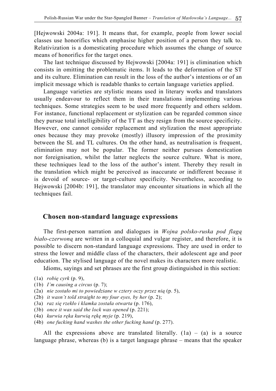[Hejwowski 2004a: 191]. It means that, for example, people from lower social classes use honorifics which emphasise higher position of a person they talk to. Relativization is a domesticating procedure which assumes the change of source means of honorifics for the target ones.

The last technique discussed by Hejwowski [2004a: 191] is elimination which consists in omitting the problematic items. It leads to the deformation of the ST and its culture. Elimination can result in the loss of the author's intentions or of an implicit message which is readable thanks to certain language varieties applied.

Language varieties are stylistic means used in literary works and translators usually endeavour to reflect them in their translations implementing various techniques. Some strategies seem to be used more frequently and others seldom. For instance, functional replacement or stylization can be regarded common since they pursue total intelligibility of the TT as they resign from the source specificity. However, one cannot consider replacement and stylization the most appropriate ones because they may provoke (mostly) illusory impression of the proximity between the SL and TL cultures. On the other hand, as neutralisation is frequent, elimination may not be popular. The former neither pursues domestication nor foreignisation, whilst the latter neglects the source culture. What is more, these techniques lead to the loss of the author's intent. Thereby they result in the translation which might be perceived as inaccurate or indifferent because it is devoid of source- or target-culture specificity. Nevertheless, according to Hejwowski [2004b: 191], the translator may encounter situations in which all the techniques fail.

#### **Chosen non-standard language expressions**

The first-person narration and dialogues in *Wojna polsko-ruska pod flagą biało-czerwoną* are written in a colloquial and vulgar register, and therefore, it is possible to discern non-standard language expressions. They are used in order to stress the lower and middle class of the characters, their adolescent age and poor education. The stylised language of the novel makes its characters more realistic.

Idioms, sayings and set phrases are the first group distinguished in this section:

- (1b) *I'm causing a circus* (p. 7);
- (2a) *nie zostało mi to powiedziane w cztery oczy przez nią* (p. 5),
- (2b) *it wasn't told straight to my four eyes, by her* (p. 2);
- (3a) *raz się rzekło i klamka została otwarta* (p. 176),
- (3b) *once it was said the lock was opened* (p. 221);
- (4a) *kurwia ręka kurwią rękę myje* (p. 219),
- (4b) *one fucking hand washes the other fucking hand* (p. 277).

All the expressions above are translated literally.  $(1a) - (a)$  is a source language phrase, whereas (b) is a target language phrase – means that the speaker

<sup>(1</sup>a) *robię cyrk* (p. 9),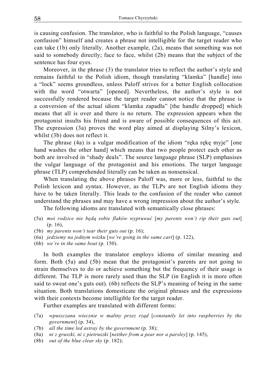is causing confusion. The translator, who is faithful to the Polish language, "causes confusion" himself and creates a phrase not intelligible for the target reader who can take (1b) only literally. Another example, (2a), means that something was not said to somebody directly; face to face, whilst (2b) means that the subject of the sentence has four eyes.

Moreover, in the phrase (3) the translator tries to reflect the author's style and remains faithful to the Polish idiom, though translating "klamka" [handle] into a "lock" seems groundless, unless Paloff strives for a better English collocation with the word "otwarta" [opened]. Nevertheless, the author's style is not successfully rendered because the target reader cannot notice that the phrase is a conversion of the actual idiom "klamka zapadła" [the handle dropped] which means that all is over and there is no return. The expression appears when the protagonist insults his friend and is aware of possible consequences of this act. The expression (3a) proves the word play aimed at displaying Silny's lexicon, whilst (3b) does not reflect it.

The phrase (4a) is a vulgar modification of the idiom "ręka rękę myje" [one hand washes the other hand] which means that two people protect each other as both are involved in "shady deals". The source language phrase (SLP) emphasises the vulgar language of the protagonist and his emotions. The target language phrase (TLP) comprehended literally can be taken as nonsensical.

When translating the above phrases Paloff was, more or less, faithful to the Polish lexicon and syntax. However, as the TLPs are not English idioms they have to be taken literally. This leads to the confusion of the reader who cannot understand the phrases and may have a wrong impression about the author's style.

The following idioms are translated with semantically close phrases:

- (5a) *moi rodzice nie będą sobie flaków wypruwać* [*my parents won't rip their guts out*]  $(p. 16)$ ,
- (5b) *my parents won't tear their guts out* (p. 16);
- (6a) *jedziemy na jednym wózku* [*we're going in the same cart*] (p. 122),
- (6b) *we're in the same boat* (p. 150).

In both examples the translator employs idioms of similar meaning and form. Both (5a) and (5b) mean that the protagonist's parents are not going to strain themselves to do or achieve something but the frequency of their usage is different. The TLP is more rarely used than the SLP (in English it is more often said to sweat one's guts out). (6b) reflects the SLP's meaning of being in the same situation. Both translations domesticate the original phrases and the expressions with their contexts become intelligible for the target reader.

Further examples are translated with different forms:

- (7a) *wpuszczana wiecznie w maliny przez rząd* [*constantly let into raspberries by the government*] (p. 34),
- (7b) *all the time led astray by the government* (p. 38);
- (8a) *ni z gruszki, ni z pietruszki* [*neither from a pear nor a parsley*] (p. 145),
- (8b) *out of the blue clear sky* (p. 182);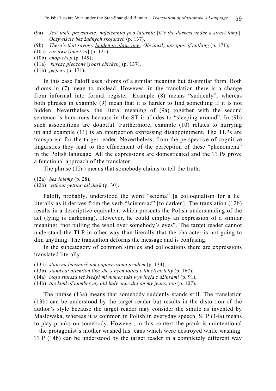- (9a) *Jest takie przysłowie: najciemniej pod latarnią* [*it's the darkest under a street lamp*]*. Oczywiście bez żadnych skojarzeń* (p. 137),
- (9b) *There's that saying: hidden in plain view. Obviously apropos of nothing (p. 171)*;
- (10a) *raz dwa* [*one two*] (p. 121),
- (10b) *chop-chop* (p. 149);
- (11a) *kurczę pieczone* [*roast chicken*] (p. 137),
- (11b) *jeepers* (p. 171).

In this case Paloff uses idioms of a similar meaning but dissimilar form. Both idioms in (7) mean to mislead. However, in the translation there is a change from informal into formal register. Example (8) means "suddenly", whereas both phrases in example (9) mean that it is harder to find something if it is not hidden. Nevertheless, the literal meaning of (9a) together with the second sentence is humorous because in the ST it alludes to "sleeping around". In (9b) such associations are doubtful. Furthermore, example (10) relates to hurrying up and example (11) is an interjection expressing disappointment. The TLPs are transparent for the target reader. Nevertheless, from the perspective of cognitive linguistics they lead to the effacement of the perception of these "phenomena" in the Polish language. All the expressions are domesticated and the TLPs prove a functional approach of the translator.

The phrase (12a) means that somebody claims to tell the truth:

- (12a) *bez ściemy* (p. 28),
- (12b) *without getting all dark* (p. 30).

Paloff, probably, understood the word "ściema" [a colloquialism for a lie] literally as it derives from the verb "ściemniać" [to darken]. The translation (12b) results in a descriptive equivalent which presents the Polish understanding of the act (lying is darkening). However, he could employ an expression of a similar meaning: "not pulling the wool over somebody's eyes". The target reader cannot understand the TLP in other way than literally that the character is not going to dim anything. The translation deforms the message and is confusing.

In the subcategory of common similes and collocations there are expressions translated literally:

- (13a) *staje na baczność jak popieszczona prądem* (p. 134),
- (13b) *stands at attention like she's been jolted with electricity* (p. 167);
- (14a) *moja starsza też kiedyś mi numer taki wywinęła z dżinsami* (p. 91),
- (14b) *the kind of number my old lady once did on my jeans, too* (p. 107).

The phrase (13a) means that somebody suddenly stands still. The translation (13b) can be understood by the target reader but results in the distortion of the author's style because the target reader may consider the simile as invented by Masłowska, whereas it is common in Polish in everyday speech. SLP (14a) means to play pranks on somebody. However, in this context the prank is unintentional – the protagonist's mother washed his jeans which were destroyed while washing. TLP (14b) can be understood by the target reader in a completely different way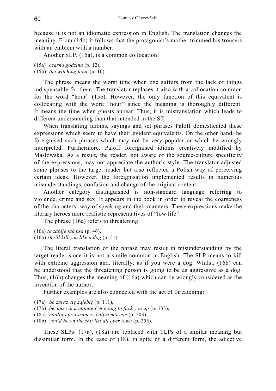because it is not an idiomatic expression in English. The translation changes the meaning. From (14b) it follows that the protagonist's mother trimmed his trousers with an emblem with a number.

Another SLP, (15a), is a common collocation:

- (15a) *czarna godzina* (p. 12),
- (15b) *the witching hour* (p. 10).

The phrase means the worst time when one suffers from the lack of things indispensable for them. The translator replaces it also with a collocation common for the word "hour" (15b). However, the only function of this equivalent is collocating with the word "hour" since the meaning is thoroughly different. It means the time when ghosts appear. Thus, it is mistranslation which leads to different understanding than that intended in the ST.

When translating idioms, sayings and set phrases Paloff domesticated these expressions which seem to have their evident equivalents. On the other hand, he foreignised such phrases which may not be very popular or which he wrongly interpreted. Furthermore, Paloff foreignised idioms creatively modified by Masłowska. As a result, the reader, not aware of the source-culture specificity of the expressions, may not appreciate the author's style. The translator adjusted some phrases to the target reader but also reflected a Polish way of perceiving certain ideas. However, the foreignisation implemented results in numerous misunderstandings, confusion and change of the original content.

Another category distinguished is non-standard language referring to violence, crime and sex. It appears in the book in order to reveal the coarseness of the characters' way of speaking and their manners. These expressions make the literary heroes more realistic representatives of "low life".

The phrase (16a) refers to threatening:

(16a) *to zabije jak psa* (p. 46), (16b) *she'll kill you like a dog* (p. 51).

The literal translation of the phrase may result in misunderstanding by the target reader since it is not a simile common in English. The SLP means to kill with extreme aggression and, literally, as if you were a dog. Whilst, (16b) can be understood that the threatening person is going to be as aggressive as a dog. Thus, (16b) changes the meaning of (16a) which can be wrongly considered as the invention of the author.

Further examples are also connected with the act of threatening:

- (17a) *bo zaraz cię zajebię* (p. 111),
- (17b) *because in a minute I'm going to fuck you up* (p. 133);
- (18a) *miałbyś przesrane w całym mieście* (p. 203),
- (18b) *you'd be on the shit list all over town* (p. 255).

These SLPs: (17a), (18a) are replaced with TLPs of a similar meaning but dissimilar form. In the case of (18), in spite of a different form, the adjective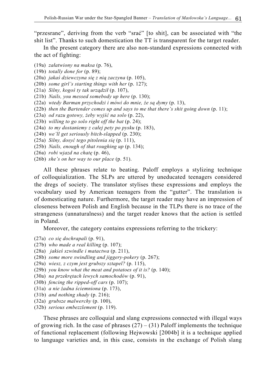"przesrane", deriving from the verb "srać" [to shit], can be associated with "the shit list". Thanks to such domestication the TT is transparent for the target reader.

In the present category there are also non-standard expressions connected with the act of fighting:

- (19a) *załatwiony na maksa* (p. 76),
- (19b) *totally done for* (p. 89);
- (20a) *jakaś dziewczyna się z nią zaczyna* (p. 105),
- (20b) *some girl's starting things with her* (p. 127);
- (21a) *Silny, kogoś ty tak urządził* (p. 107),
- (21b) *Nails, you messed somebody up here* (p. 130);
- (22a) *wtedy Barman przychodzi i mówi do mnie, że są dymy* (p. 13),
- (22b) *then the Bartender comes up and says to me that there's shit going down* (p. 11);
- (23a) *od razu gotowy, żeby wyjść na solo* (p. 22),
- (23b) *willing to go solo right off the bat* (p. 24);
- (24a) *to my dostaniemy z całej pety po pysku* (p. 183),
- (24b) *we'll get seriously bitch-slapped* (p. 230);
- (25a) *Silny, dosyć tego pitolenia się* (p. 111),
- (25b) *Nails, enough of that roughing up* (p. 134);
- (26a) *robi wjazd na chatę* (p. 46),
- (26b) *she's on her way to our place* (p. 51).

All these phrases relate to beating. Paloff employs a stylizing technique of colloquialization. The SLPs are uttered by uneducated teenagers considered the dregs of society. The translator stylises these expressions and employs the vocabulary used by American teenagers from the "gutter". The translation is of domesticating nature. Furthermore, the target reader may have an impression of closeness between Polish and English because in the TLPs there is no trace of the strangeness (unnaturalness) and the target reader knows that the action is settled in Poland.

Moreover, the category contains expressions referring to the trickery:

- (27a) *co się dochrapali* (p. 91),
- (27b) *who made a real killing* (p. 107);
- (28a) *jakieś szwindle i matactwa* (p. 211),
- (28b) *some more swindling and jiggery-pokery* (p. 267);
- (29a) *wiesz, z czym jest grubszy sztapel?* (p. 115),
- (29b) *you know what the meat and potatoes of it is?* (p. 140);
- (30a) *na przekrętach lewych samochodów* (p. 91),
- (30b) *fencing the ripped-off cars* (p. 107);
- (31a) *a nie żadna ściemniona* (p. 173),
- (31b) *and nothing shady* (p. 216);
- (32a) *grubsze malwerchy* (p. 100),
- (32b) *serious embezzlement* (p. 119).

These phrases are colloquial and slang expressions connected with illegal ways of growing rich. In the case of phrases  $(27) - (31)$  Paloff implements the technique of functional replacement (following Hejwowski [2004b] it is a technique applied to language varieties and, in this case, consists in the exchange of Polish slang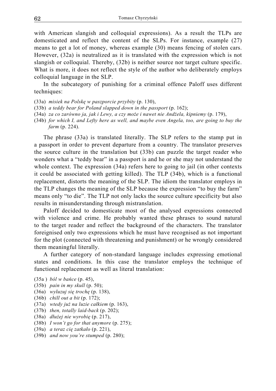with American slangish and colloquial expressions). As a result the TLPs are domesticated and reflect the content of the SLPs. For instance, example (27) means to get a lot of money, whereas example (30) means fencing of stolen cars. However, (32a) is neutralized as it is translated with the expression which is not slangish or colloquial. Thereby, (32b) is neither source nor target culture specific. What is more, it does not reflect the style of the author who deliberately employs colloquial language in the SLP.

In the subcategory of punishing for a criminal offence Paloff uses different techniques:

- (33a) *misiek na Polskę w paszporcie przybity* (p. 130),
- (33b) *a teddy bear for Poland slapped down in the passport* (p. 162);
- (34a) *za co zarówno ja, jak i Lewy, a czy może i nawet nie Andżela, kipniemy* (p. 179),
- (34b) *for which I, and Lefty here as well, and maybe even Angela, too, are going to buy the farm* (p. 224).

The phrase (33a) is translated literally. The SLP refers to the stamp put in a passport in order to prevent departure from a country. The translator preserves the source culture in the translation but (33b) can puzzle the target reader who wonders what a "teddy bear" in a passport is and he or she may not understand the whole context. The expression (34a) refers here to going to jail (in other contexts it could be associated with getting killed). The TLP (34b), which is a functional replacement, distorts the meaning of the SLP. The idiom the translator employs in the TLP changes the meaning of the SLP because the expression "to buy the farm" means only "to die". The TLP not only lacks the source culture specificity but also results in misunderstanding through mistranslation.

Paloff decided to domesticate most of the analysed expressions connected with violence and crime. He probably wanted these phrases to sound natural to the target reader and reflect the background of the characters. The translator foreignised only two expressions which he must have recognised as not important for the plot (connected with threatening and punishment) or he wrongly considered them meaningful literally.

A further category of non-standard language includes expressing emotional states and conditions. In this case the translator employs the technique of functional replacement as well as literal translation:

- (35a ) *ból w bańce* (p. 45),
- (35b) *pain in my skull* (p. 50);
- (36a) *wyluzuj się trochę* (p. 138),
- (36b) *chill out a bit* (p. 172);
- (37a) *wtedy już na luzie całkiem* (p. 163),
- (37b) *then, totally laid-back* (p. 202);
- (38a) *dłużej nie wyrobię* (p. 217),
- (38b) *I won't go for that anymore* (p. 275);
- (39a) *a teraz cię zatkało* (p. 221),
- (39b) *and now you're stumped* (p. 280);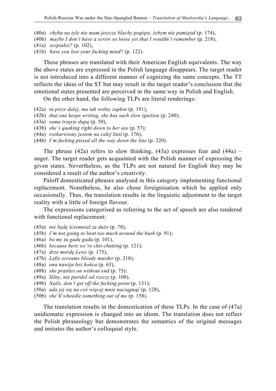- (40a) *chyba na tyle nie mam jeszcze blachy pogięte, żebym nie pamiętał* (p. 174),
- (40b) *maybe I don't have a screw so loose yet that I wouldn't remember* (p. 218);
- (41a) *ocipiałeś?* (p. 102),
- (41b) *have you lost your fucking mind?* (p. 122).

These phrases are translated with their American English equivalents. The way the above states are expressed in the Polish language disappears. The target reader is not introduced into a different manner of cognizing the same concepts. The TT reflects the ideas of the ST but may result in the target reader's conclusion that the emotional states presented are perceived in the same way in Polish and English.

On the other hand, the following TLPs are literal renderings:

- (42a) *ta pisze dalej, ma tak wolny zapłon* (p. 191),
- (42b) *that one keeps writing, she has such slow ignition* (p. 240);
- (43a) *sama trzęsie dupą* (p. 50),
- (43b) *she's quaking right down to her ass* (p. 57);
- (44a) *rozkurwiony jestem na całej linii* (p. 176),
- (44b) *I'm fucking pissed all the way down the line* (p. 220).

The phrase  $(42a)$  refers to slow thinking,  $(43a)$  expresses fear and  $(44a)$  – anger. The target reader gets acquainted with the Polish manner of expressing the given states. Nevertheless, as the TLPs are not natural for English they may be considered a result of the author's creativity.

Paloff domesticated phrases analysed in this category implementing functional replacement. Nonetheless, he also chose foreignisation which he applied only occasionally. Thus, the translation results in the linguistic adjustment to the target reality with a little of foreign flavour.

The expressions categorised as referring to the act of speech are also rendered with functional replacement:

- (45a) *nie będę ściemniał za dużo* (p. 78),
- (45b) *I'm not going to beat too much around the bush* (p. 91);
- (46a) *bo my tu gadu gadu* (p. 101),
- (46b) *because here we're chit-chatting* (p. 121);
- (47a) *drze mordę Lewy* (p. 175),
- (47b) *Lefty screams bloody murder* (p. 218);
- (48a) *ona nawija bez końca* (p. 63),
- (48b) *she prattles on without end* (p. 73);
- (49a) *Silny, nie pierdol od rzeczy* (p. 108),
- (49b) *Nails, don't get off the fucking point* (p. 131);
- (50a) *uda jej się na coś więcej mnie naciągnąć* (p. 128),
- (50b) *she'll wheedle something out of me* (p. 158).

The translation results in the domestication of these TLPs. In the case of (47a) unidiomatic expression is changed into an idiom. The translation does not reflect the Polish phraseology but demonstrates the semantics of the original messages and imitates the author's colloquial style.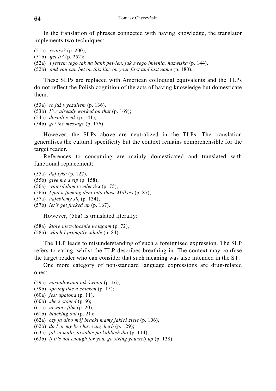In the translation of phrases connected with having knowledge, the translator implements two techniques:

- (51a) *czaisz?* (p. 200),
- (51b) *get it?* (p. 252);
- (52a) *i jestem tego tak na bank pewien, jak swego imienia, nazwiska* (p. 144),
- (52b) *and you can bet on this like on your first and last name* (p. 180).

These SLPs are replaced with American colloquial equivalents and the TLPs do not reflect the Polish cognition of the acts of having knowledge but domesticate them.

- (53a) *to już wyczaiłem* (p. 136),
- (53b) *I've already worked on that* (p. 169);
- (54a) *dostali cynk* (p. 141),
- (54b) *get the message* (p. 176).

However, the SLPs above are neutralized in the TLPs. The translation generalises the cultural specificity but the context remains comprehensible for the target reader.

References to consuming are mainly domesticated and translated with functional replacement:

- (55a) *daj łyka* (p. 127),
- (55b) *give me a sip* (p. 158);
- (56a) *wpierdalam te mlec*zka (p. 75),
- (56b) *I put a fucking dent into those Milkies* (p. 87);
- (57a) *najebiemy się* (p. 134),
- (57b) *let's get fucked up* (p. 167).

However, (58a) is translated literally:

- (58a) *które niezwłocznie wciągam* (p. 72),
- (58b) *which I promptly inhale* (p. 84).

The TLP leads to misunderstanding of such a foreignised expression. The SLP refers to eating, whilst the TLP describes breathing in. The context may confuse the target reader who can consider that such meaning was also intended in the ST.

One more category of non-standard language expressions are drug-related ones:

- (59a) *naspidowana jak świnia* (p. 16),
- (59b) *sprung like a chicken* (p. 15);
- (60a) *jest upalona* (p. 11),
- (60b) *she's stoned* (p. 9);
- (61a) *urwany film* (p. 20),
- (61b) *blacking out* (p. 21);
- (62a) *czy ja albo mój bracki mamy jakieś ziele* (p. 106),
- (62b) *do I or my bro have any herb* (p. 129);
- (63a) *jak ci mało, to sobie po kablach daj* (p. 114),
- (63b) *if it's not enough for you, go string yourself up* (p. 138);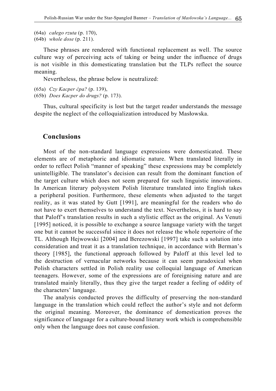- (64a) *całego rzuta* (p. 170),
- (64b) *whole dose* (p. 211).

These phrases are rendered with functional replacement as well. The source culture way of perceiving acts of taking or being under the influence of drugs is not visible in this domesticating translation but the TLPs reflect the source meaning.

Nevertheless, the phrase below is neutralized:

- (65a) *Czy Kacper ćpa?* (p. 139),
- (65b) *Does Kacper do drugs?* (p. 173).

Thus, cultural specificity is lost but the target reader understands the message despite the neglect of the colloquialization introduced by Masłowska.

#### **Conclusions**

Most of the non-standard language expressions were domesticated. These elements are of metaphoric and idiomatic nature. When translated literally in order to reflect Polish "manner of speaking" these expressions may be completely unintelligible. The translator's decision can result from the dominant function of the target culture which does not seem prepared for such linguistic innovations. In American literary polysystem Polish literature translated into English takes a peripheral position. Furthermore, these elements when adjusted to the target reality, as it was stated by Gutt [1991], are meaningful for the readers who do not have to exert themselves to understand the text. Nevertheless, it is hard to say that Paloff's translation results in such a stylistic effect as the original. As Venuti [1995] noticed, it is possible to exchange a source language variety with the target one but it cannot be successful since it does not release the whole repertoire of the TL. Although Hejwowski [2004] and Berezowski [1997] take such a solution into consideration and treat it as a translation technique, in accordance with Berman's theory [1985], the functional approach followed by Paloff at this level led to the destruction of vernacular networks because it can seem paradoxical when Polish characters settled in Polish reality use colloquial language of American teenagers. However, some of the expressions are of foreignising nature and are translated mainly literally, thus they give the target reader a feeling of oddity of the characters' language.

The analysis conducted proves the difficulty of preserving the non-standard language in the translation which could reflect the author's style and not deform the original meaning. Moreover, the dominance of domestication proves the significance of language for a culture-bound literary work which is comprehensible only when the language does not cause confusion.